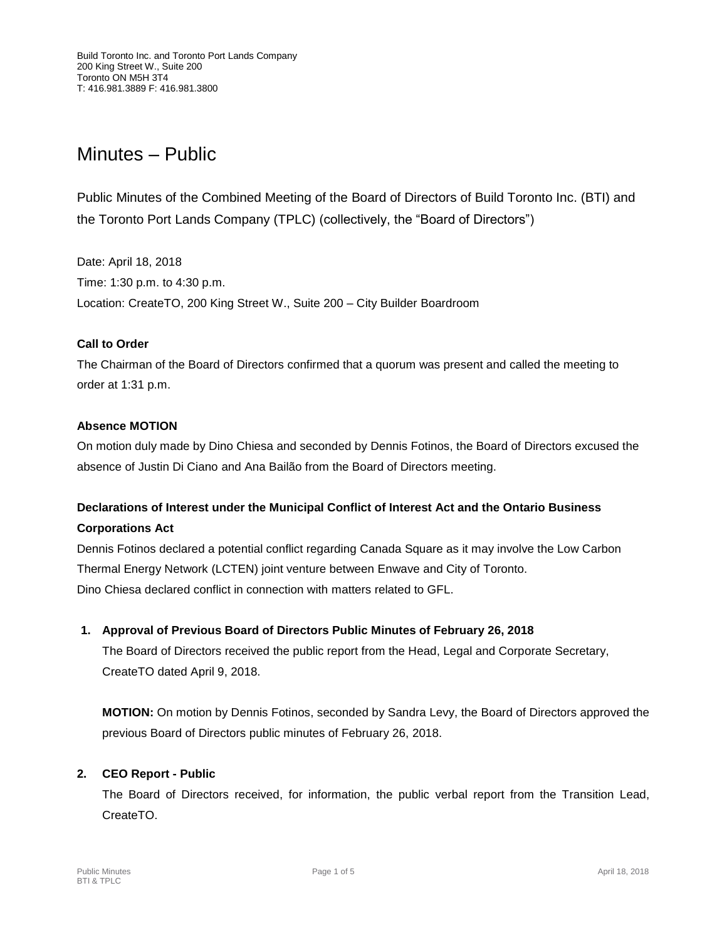# Minutes – Public

Public Minutes of the Combined Meeting of the Board of Directors of Build Toronto Inc. (BTI) and the Toronto Port Lands Company (TPLC) (collectively, the "Board of Directors")

Date: April 18, 2018 Time: 1:30 p.m. to 4:30 p.m. Location: CreateTO, 200 King Street W., Suite 200 – City Builder Boardroom

## **Call to Order**

The Chairman of the Board of Directors confirmed that a quorum was present and called the meeting to order at 1:31 p.m.

## **Absence MOTION**

On motion duly made by Dino Chiesa and seconded by Dennis Fotinos, the Board of Directors excused the absence of Justin Di Ciano and Ana Bailão from the Board of Directors meeting.

## **Declarations of Interest under the Municipal Conflict of Interest Act and the Ontario Business Corporations Act**

Dennis Fotinos declared a potential conflict regarding Canada Square as it may involve the Low Carbon Thermal Energy Network (LCTEN) joint venture between Enwave and City of Toronto. Dino Chiesa declared conflict in connection with matters related to GFL.

## **1. Approval of Previous Board of Directors Public Minutes of February 26, 2018**

The Board of Directors received the public report from the Head, Legal and Corporate Secretary, CreateTO dated April 9, 2018.

**MOTION:** On motion by Dennis Fotinos, seconded by Sandra Levy, the Board of Directors approved the previous Board of Directors public minutes of February 26, 2018.

## **2. CEO Report - Public**

The Board of Directors received, for information, the public verbal report from the Transition Lead, CreateTO.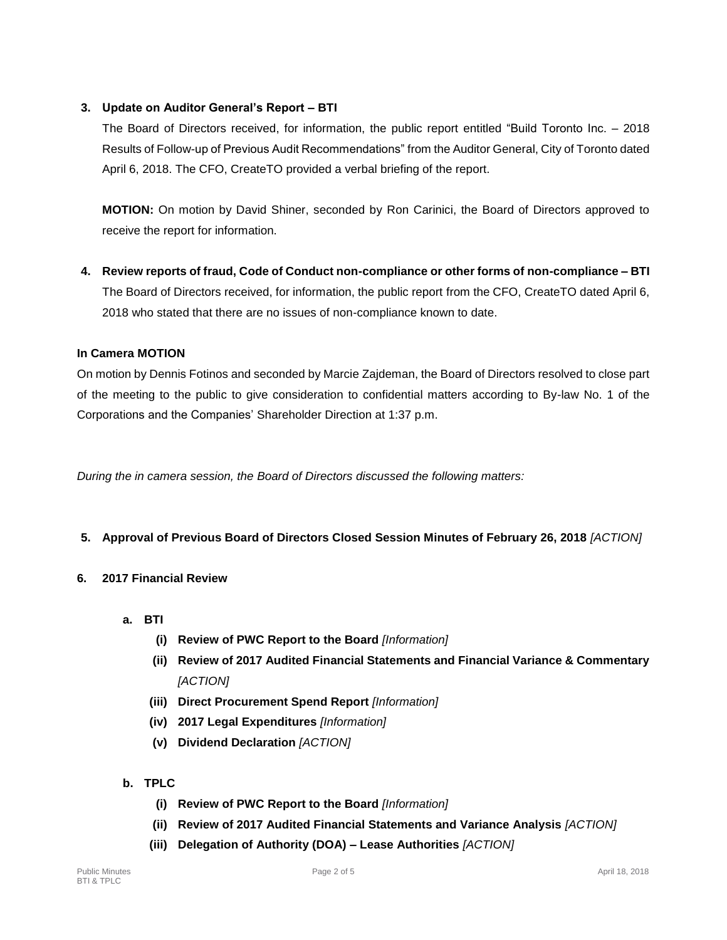## **3. Update on Auditor General's Report – BTI**

The Board of Directors received, for information, the public report entitled "Build Toronto Inc. – 2018 Results of Follow-up of Previous Audit Recommendations" from the Auditor General, City of Toronto dated April 6, 2018. The CFO, CreateTO provided a verbal briefing of the report.

**MOTION:** On motion by David Shiner, seconded by Ron Carinici, the Board of Directors approved to receive the report for information.

**4. Review reports of fraud, Code of Conduct non-compliance or other forms of non-compliance – BTI** The Board of Directors received, for information, the public report from the CFO, CreateTO dated April 6, 2018 who stated that there are no issues of non-compliance known to date.

## **In Camera MOTION**

On motion by Dennis Fotinos and seconded by Marcie Zajdeman, the Board of Directors resolved to close part of the meeting to the public to give consideration to confidential matters according to By-law No. 1 of the Corporations and the Companies' Shareholder Direction at 1:37 p.m.

*During the in camera session, the Board of Directors discussed the following matters:*

## **5. Approval of Previous Board of Directors Closed Session Minutes of February 26, 2018** *[ACTION]*

## **6. 2017 Financial Review**

- **a. BTI**
	- **(i) Review of PWC Report to the Board** *[Information]*
	- **(ii) Review of 2017 Audited Financial Statements and Financial Variance & Commentary**  *[ACTION]*
	- **(iii) Direct Procurement Spend Report** *[Information]*
	- **(iv) 2017 Legal Expenditures** *[Information]*
	- **(v) Dividend Declaration** *[ACTION]*
- **b. TPLC**
	- **(i) Review of PWC Report to the Board** *[Information]*
	- **(ii) Review of 2017 Audited Financial Statements and Variance Analysis** *[ACTION]*
	- **(iii) Delegation of Authority (DOA) – Lease Authorities** *[ACTION]*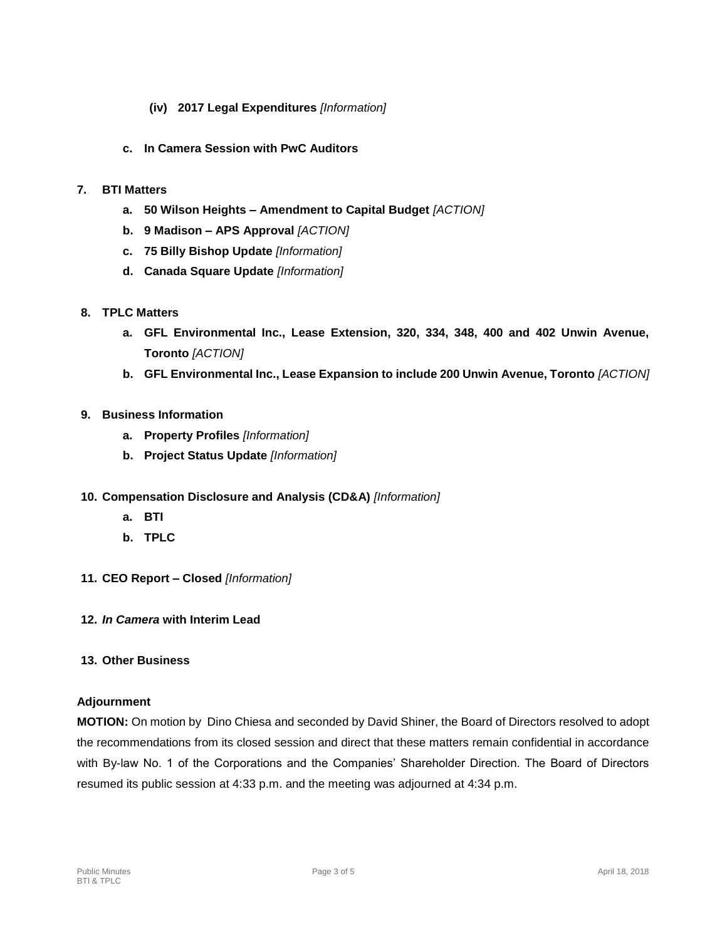- **(iv) 2017 Legal Expenditures** *[Information]*
- **c. In Camera Session with PwC Auditors**

## **7. BTI Matters**

- **a. 50 Wilson Heights – Amendment to Capital Budget** *[ACTION]*
- **b. 9 Madison – APS Approval** *[ACTION]*
- **c. 75 Billy Bishop Update** *[Information]*
- **d. Canada Square Update** *[Information]*
- **8. TPLC Matters**
	- **a. GFL Environmental Inc., Lease Extension, 320, 334, 348, 400 and 402 Unwin Avenue, Toronto** *[ACTION]*
	- **b. GFL Environmental Inc., Lease Expansion to include 200 Unwin Avenue, Toronto** *[ACTION]*

## **9. Business Information**

- **a. Property Profiles** *[Information]*
- **b. Project Status Update** *[Information]*
- **10. Compensation Disclosure and Analysis (CD&A)** *[Information]*
	- **a. BTI**
	- **b. TPLC**
- **11. CEO Report – Closed** *[Information]*
- **12.** *In Camera* **with Interim Lead**
- **13. Other Business**

## **Adjournment**

**MOTION:** On motion by Dino Chiesa and seconded by David Shiner, the Board of Directors resolved to adopt the recommendations from its closed session and direct that these matters remain confidential in accordance with By-law No. 1 of the Corporations and the Companies' Shareholder Direction. The Board of Directors resumed its public session at 4:33 p.m. and the meeting was adjourned at 4:34 p.m.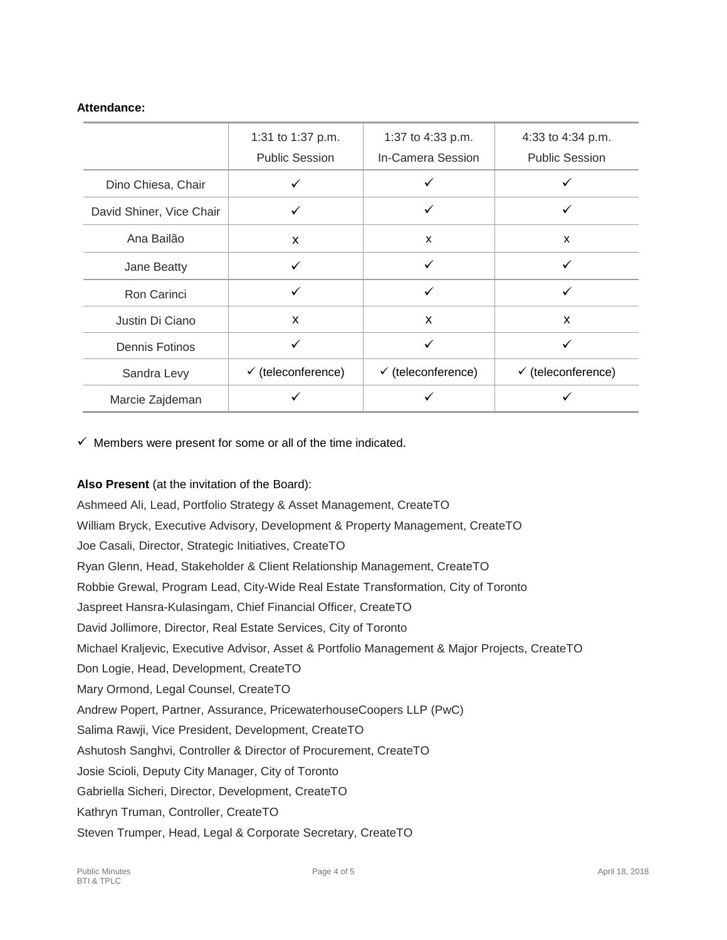#### **Attendance:**

|                          | 1:31 to 1:37 p.m.             | 1:37 to 4:33 p.m.             | 4:33 to 4:34 p.m.             |
|--------------------------|-------------------------------|-------------------------------|-------------------------------|
|                          | <b>Public Session</b>         | In-Camera Session             | <b>Public Session</b>         |
| Dino Chiesa, Chair       | ✓                             | ✓                             |                               |
| David Shiner, Vice Chair | ✓                             | ✓                             | ✓                             |
| Ana Bailão               | X                             | X                             | X                             |
| Jane Beatty              | ✓                             | ✓                             | ✓                             |
| Ron Carinci              | ✓                             | ✓                             | ✓                             |
| Justin Di Ciano          | X                             | X                             | X                             |
| <b>Dennis Fotinos</b>    | ✓                             | ✓                             | ✓                             |
| Sandra Levy              | $\checkmark$ (teleconference) | $\checkmark$ (teleconference) | $\checkmark$ (teleconference) |
| Marcie Zajdeman          |                               |                               |                               |

 $\checkmark$  Members were present for some or all of the time indicated.

**Also Present** (at the invitation of the Board):

Ashmeed Ali, Lead, Portfolio Strategy & Asset Management, CreateTO William Bryck, Executive Advisory, Development & Property Management, CreateTO Joe Casali, Director, Strategic Initiatives, CreateTO Ryan Glenn, Head, Stakeholder & Client Relationship Management, CreateTO Robbie Grewal, Program Lead, City-Wide Real Estate Transformation, City of Toronto Jaspreet Hansra-Kulasingam, Chief Financial Officer, CreateTO David Jollimore, Director, Real Estate Services, City of Toronto Michael Kraljevic, Executive Advisor, Asset & Portfolio Management & Major Projects, CreateTO Don Logie, Head, Development, CreateTO Mary Ormond, Legal Counsel, CreateTO Andrew Popert, Partner, Assurance, PricewaterhouseCoopers LLP (PwC) Salima Rawji, Vice President, Development, CreateTO Ashutosh Sanghvi, Controller & Director of Procurement, CreateTO Josie Scioli, Deputy City Manager, City of Toronto Gabriella Sicheri, Director, Development, CreateTO Kathryn Truman, Controller, CreateTO Steven Trumper, Head, Legal & Corporate Secretary, CreateTO